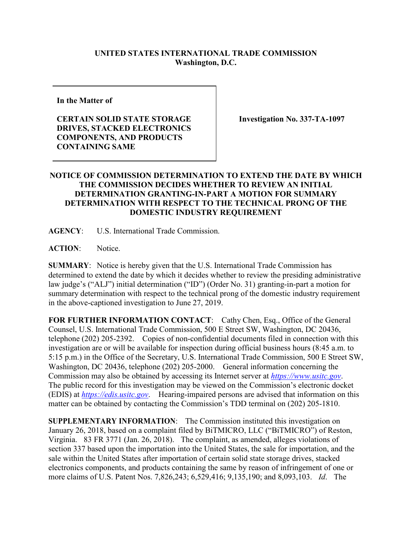## **UNITED STATES INTERNATIONAL TRADE COMMISSION Washington, D.C.**

**In the Matter of**

**CERTAIN SOLID STATE STORAGE DRIVES, STACKED ELECTRONICS COMPONENTS, AND PRODUCTS CONTAINING SAME**

**Investigation No. 337-TA-1097**

## **NOTICE OF COMMISSION DETERMINATION TO EXTEND THE DATE BY WHICH THE COMMISSION DECIDES WHETHER TO REVIEW AN INITIAL DETERMINATION GRANTING-IN-PART A MOTION FOR SUMMARY DETERMINATION WITH RESPECT TO THE TECHNICAL PRONG OF THE DOMESTIC INDUSTRY REQUIREMENT**

**AGENCY**: U.S. International Trade Commission.

**ACTION**: Notice.

**SUMMARY**: Notice is hereby given that the U.S. International Trade Commission has determined to extend the date by which it decides whether to review the presiding administrative law judge's ("ALJ") initial determination ("ID") (Order No. 31) granting-in-part a motion for summary determination with respect to the technical prong of the domestic industry requirement in the above-captioned investigation to June 27, 2019.

**FOR FURTHER INFORMATION CONTACT**: Cathy Chen, Esq., Office of the General Counsel, U.S. International Trade Commission, 500 E Street SW, Washington, DC 20436, telephone (202) 205-2392. Copies of non-confidential documents filed in connection with this investigation are or will be available for inspection during official business hours (8:45 a.m. to 5:15 p.m.) in the Office of the Secretary, U.S. International Trade Commission, 500 E Street SW, Washington, DC 20436, telephone (202) 205-2000. General information concerning the Commission may also be obtained by accessing its Internet server at *[https://www.usitc.gov](https://www.usitc.gov/)*. The public record for this investigation may be viewed on the Commission's electronic docket (EDIS) at *[https://edis.usitc.gov](https://edis.usitc.gov/)*. Hearing-impaired persons are advised that information on this matter can be obtained by contacting the Commission's TDD terminal on (202) 205-1810.

**SUPPLEMENTARY INFORMATION**: The Commission instituted this investigation on January 26, 2018, based on a complaint filed by BiTMICRO, LLC ("BiTMICRO") of Reston, Virginia. 83 FR 3771 (Jan. 26, 2018). The complaint, as amended, alleges violations of section 337 based upon the importation into the United States, the sale for importation, and the sale within the United States after importation of certain solid state storage drives, stacked electronics components, and products containing the same by reason of infringement of one or more claims of U.S. Patent Nos. 7,826,243; 6,529,416; 9,135,190; and 8,093,103. *Id*. The